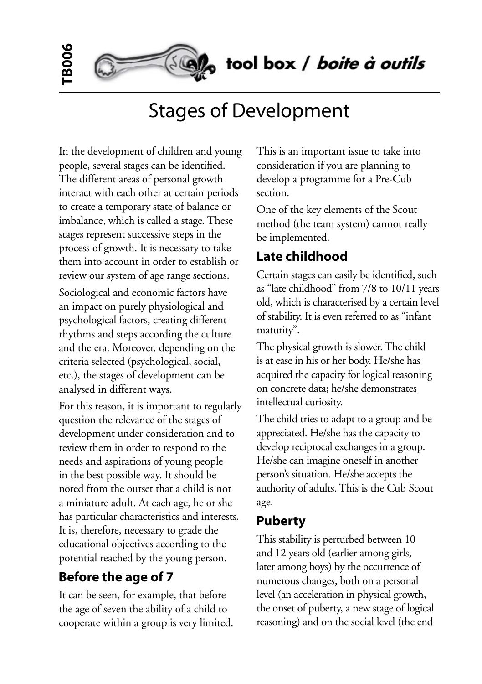tool box / boite à outils

# Stages of Development

In the development of children and young people, several stages can be identified. The different areas of personal growth interact with each other at certain periods to create a temporary state of balance or imbalance, which is called a stage. These stages represent successive steps in the process of growth. It is necessary to take them into account in order to establish or review our system of age range sections.

**TB006**

Sociological and economic factors have an impact on purely physiological and psychological factors, creating different rhythms and steps according the culture and the era. Moreover, depending on the criteria selected (psychological, social, etc.), the stages of development can be analysed in different ways.

For this reason, it is important to regularly question the relevance of the stages of development under consideration and to review them in order to respond to the needs and aspirations of young people in the best possible way. It should be noted from the outset that a child is not a miniature adult. At each age, he or she has particular characteristics and interests. It is, therefore, necessary to grade the educational objectives according to the potential reached by the young person.

#### **Before the age of 7**

It can be seen, for example, that before the age of seven the ability of a child to cooperate within a group is very limited. This is an important issue to take into consideration if you are planning to develop a programme for a Pre-Cub section.

One of the key elements of the Scout method (the team system) cannot really be implemented.

### **Late childhood**

Certain stages can easily be identified, such as "late childhood" from 7/8 to 10/11 years old, which is characterised by a certain level of stability. It is even referred to as "infant maturity".

The physical growth is slower. The child is at ease in his or her body. He/she has acquired the capacity for logical reasoning on concrete data; he/she demonstrates intellectual curiosity.

The child tries to adapt to a group and be appreciated. He/she has the capacity to develop reciprocal exchanges in a group. He/she can imagine oneself in another person's situation. He/she accepts the authority of adults. This is the Cub Scout age.

#### **Puberty**

This stability is perturbed between 10 and 12 years old (earlier among girls, later among boys) by the occurrence of numerous changes, both on a personal level (an acceleration in physical growth, the onset of puberty, a new stage of logical reasoning) and on the social level (the end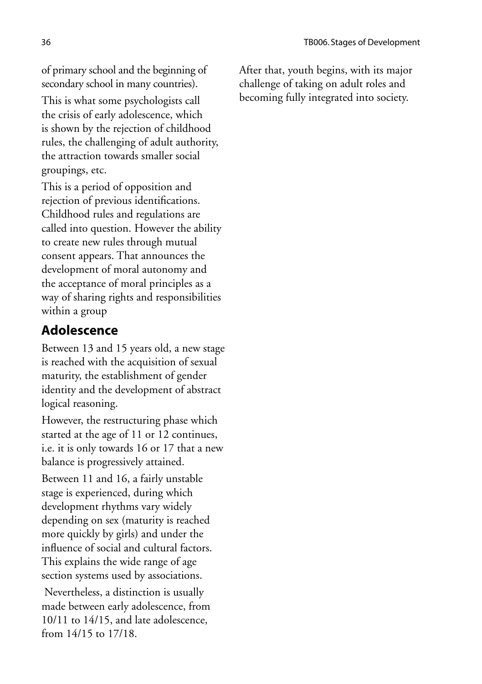of primary school and the beginning of secondary school in many countries).

This is what some psychologists call the crisis of early adolescence, which is shown by the rejection of childhood rules, the challenging of adult authority, the attraction towards smaller social groupings, etc.

This is a period of opposition and rejection of previous identifications. Childhood rules and regulations are called into question. However the ability to create new rules through mutual consent appears. That announces the development of moral autonomy and the acceptance of moral principles as a way of sharing rights and responsibilities within a group

#### **Adolescence**

Between 13 and 15 years old, a new stage is reached with the acquisition of sexual maturity, the establishment of gender identity and the development of abstract logical reasoning.

However, the restructuring phase which started at the age of 11 or 12 continues, i.e. it is only towards 16 or 17 that a new balance is progressively attained.

Between 11 and 16, a fairly unstable stage is experienced, during which development rhythms vary widely depending on sex (maturity is reached more quickly by girls) and under the influence of social and cultural factors. This explains the wide range of age section systems used by associations.

 Nevertheless, a distinction is usually made between early adolescence, from 10/11 to 14/15, and late adolescence, from 14/15 to 17/18.

After that, youth begins, with its major challenge of taking on adult roles and becoming fully integrated into society.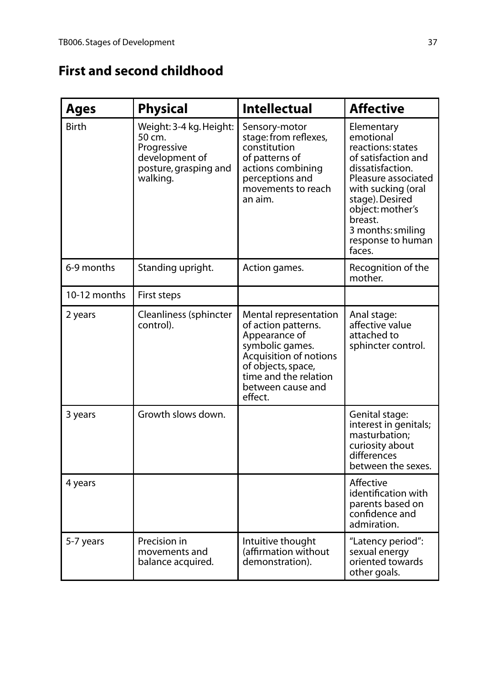# **First and second childhood**

| <b>Ages</b>  | <b>Physical</b>                                                                                         | <b>Intellectual</b>                                                                                                                                                                       | <b>Affective</b>                                                                                                                                                                                                                           |
|--------------|---------------------------------------------------------------------------------------------------------|-------------------------------------------------------------------------------------------------------------------------------------------------------------------------------------------|--------------------------------------------------------------------------------------------------------------------------------------------------------------------------------------------------------------------------------------------|
| <b>Birth</b> | Weight: 3-4 kg. Height:<br>50 cm.<br>Progressive<br>development of<br>posture, grasping and<br>walking. | Sensory-motor<br>stage: from reflexes,<br>constitution<br>of patterns of<br>actions combining<br>perceptions and<br>movements to reach<br>an aim.                                         | Elementary<br>emotional<br>reactions: states<br>of satisfaction and<br>dissatisfaction.<br>Pleasure associated<br>with sucking (oral<br>stage). Desired<br>object: mother's<br>breast.<br>3 months: smiling<br>response to human<br>faces. |
| 6-9 months   | Standing upright.                                                                                       | Action games.                                                                                                                                                                             | Recognition of the<br>mother.                                                                                                                                                                                                              |
| 10-12 months | First steps                                                                                             |                                                                                                                                                                                           |                                                                                                                                                                                                                                            |
| 2 years      | Cleanliness (sphincter<br>control).                                                                     | Mental representation<br>of action patterns.<br>Appearance of<br>symbolic games.<br>Acquisition of notions<br>of objects, space,<br>time and the relation<br>between cause and<br>effect. | Anal stage:<br>affective value<br>attached to<br>sphincter control.                                                                                                                                                                        |
| 3 years      | Growth slows down.                                                                                      |                                                                                                                                                                                           | Genital stage:<br>interest in genitals;<br>masturbation;<br>curiosity about<br>differences<br>between the sexes.                                                                                                                           |
| 4 years      |                                                                                                         |                                                                                                                                                                                           | Affective<br>identification with<br>parents based on<br>confidence and<br>admiration.                                                                                                                                                      |
| 5-7 years    | Precision in<br>movements and<br>balance acquired.                                                      | Intuitive thought<br>(affirmation without<br>demonstration).                                                                                                                              | "Latency period":<br>sexual energy<br>oriented towards<br>other goals.                                                                                                                                                                     |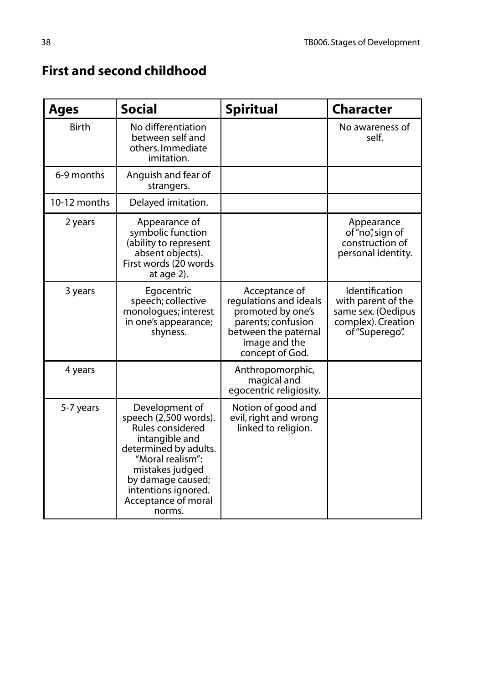| <b>Ages</b>  | <b>Social</b>                                                                                                                                                                                                              | <b>Spiritual</b>                                                                                                                               | <b>Character</b>                                                                                   |
|--------------|----------------------------------------------------------------------------------------------------------------------------------------------------------------------------------------------------------------------------|------------------------------------------------------------------------------------------------------------------------------------------------|----------------------------------------------------------------------------------------------------|
| <b>Birth</b> | No differentiation<br>between self and<br>others. Immediate<br>imitation.                                                                                                                                                  |                                                                                                                                                | No awareness of<br>self.                                                                           |
| 6-9 months   | Anguish and fear of<br>strangers.                                                                                                                                                                                          |                                                                                                                                                |                                                                                                    |
| 10-12 months | Delayed imitation.                                                                                                                                                                                                         |                                                                                                                                                |                                                                                                    |
| 2 years      | Appearance of<br>symbolic function<br>(ability to represent<br>absent objects).<br>First words (20 words<br>at age $2$ ).                                                                                                  |                                                                                                                                                | Appearance<br>of "no", sign of<br>construction of<br>personal identity.                            |
| 3 years      | Egocentric<br>speech; collective<br>monologues; interest<br>in one's appearance;<br>shyness.                                                                                                                               | Acceptance of<br>regulations and ideals<br>promoted by one's<br>parents; confusion<br>between the paternal<br>image and the<br>concept of God. | Identification<br>with parent of the<br>same sex. (Oedipus<br>complex). Creation<br>of "Superego". |
| 4 years      |                                                                                                                                                                                                                            | Anthropomorphic,<br>magical and<br>egocentric religiosity.                                                                                     |                                                                                                    |
| 5-7 years    | Development of<br>speech (2,500 words).<br>Rules considered<br>intangible and<br>determined by adults.<br>"Moral realism":<br>mistakes judged<br>by damage caused;<br>intentions ignored.<br>Acceptance of moral<br>norms. | Notion of good and<br>evil, right and wrong<br>linked to religion.                                                                             |                                                                                                    |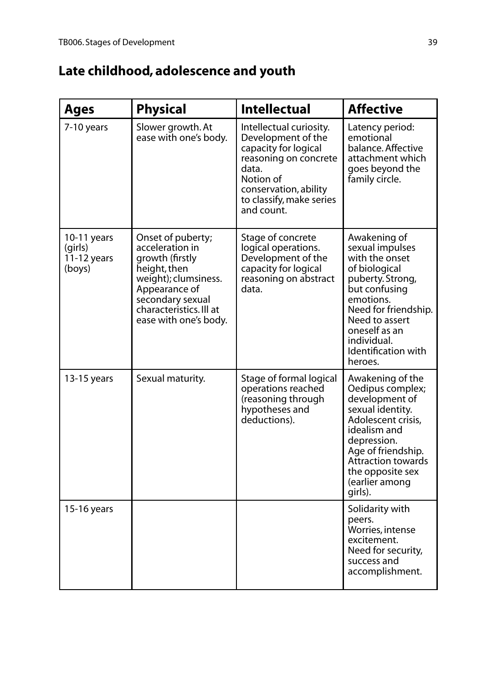# **Late childhood, adolescence and youth**

| <b>Ages</b>                                         | <b>Physical</b>                                                                                                                                                                          | <b>Intellectual</b>                                                                                                                                                                     | <b>Affective</b>                                                                                                                                                                                                                 |
|-----------------------------------------------------|------------------------------------------------------------------------------------------------------------------------------------------------------------------------------------------|-----------------------------------------------------------------------------------------------------------------------------------------------------------------------------------------|----------------------------------------------------------------------------------------------------------------------------------------------------------------------------------------------------------------------------------|
| 7-10 years                                          | Slower growth. At<br>ease with one's body.                                                                                                                                               | Intellectual curiosity.<br>Development of the<br>capacity for logical<br>reasoning on concrete<br>data.<br>Notion of<br>conservation, ability<br>to classify, make series<br>and count. | Latency period:<br>emotional<br>balance. Affective<br>attachment which<br>goes beyond the<br>family circle.                                                                                                                      |
| $10-11$ years<br>(girls)<br>$11-12$ years<br>(boys) | Onset of puberty;<br>acceleration in<br>growth (firstly<br>height, then<br>weight); clumsiness.<br>Appearance of<br>secondary sexual<br>characteristics. Ill at<br>ease with one's body. | Stage of concrete<br>logical operations.<br>Development of the<br>capacity for logical<br>reasoning on abstract<br>data.                                                                | Awakening of<br>sexual impulses<br>with the onset<br>of biological<br>puberty. Strong,<br>but confusing<br>emotions.<br>Need for friendship.<br>Need to assert<br>oneself as an<br>individual.<br>Identification with<br>heroes. |
| 13-15 years                                         | Sexual maturity.                                                                                                                                                                         | Stage of formal logical<br>operations reached<br>(reasoning through<br>hypotheses and<br>deductions).                                                                                   | Awakening of the<br>Oedipus complex;<br>development of<br>sexual identity.<br>Adolescent crisis,<br>idealism and<br>depression.<br>Age of friendship.<br>Attraction towards<br>the opposite sex<br>(earlier among<br>girls).     |
| 15-16 years                                         |                                                                                                                                                                                          |                                                                                                                                                                                         | Solidarity with<br>peers.<br>Worries, intense<br>excitement.<br>Need for security,<br>success and<br>accomplishment.                                                                                                             |